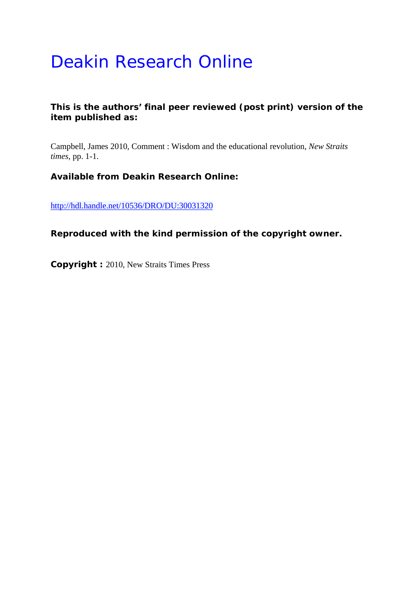## Deakin Research Online

## **This is the authors' final peer reviewed (post print) version of the item published as:**

Campbell, James 2010, Comment : Wisdom and the educational revolution*, New Straits times*, pp. 1-1.

## **Available from Deakin Research Online:**

http://hdl.handle.net/10536/DRO/DU:30031320

**Reproduced with the kind permission of the copyright owner.** 

**Copyright :** 2010, New Straits Times Press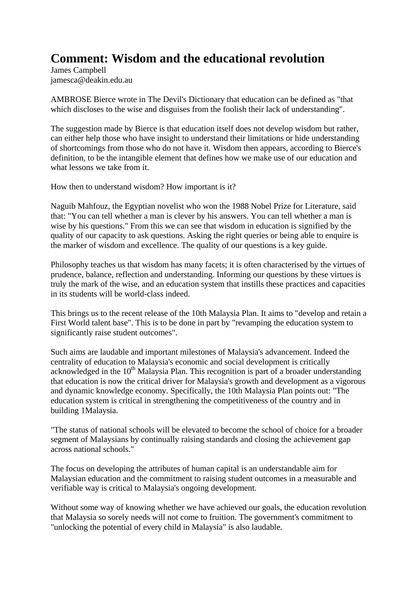## **Comment: Wisdom and the educational revolution**

James Campbell jamesca@deakin.edu.au

AMBROSE Bierce wrote in The Devil's Dictionary that education can be defined as "that which discloses to the wise and disguises from the foolish their lack of understanding".

The suggestion made by Bierce is that education itself does not develop wisdom but rather, can either help those who have insight to understand their limitations or hide understanding of shortcomings from those who do not have it. Wisdom then appears, according to Bierce's definition, to be the intangible element that defines how we make use of our education and what lessons we take from it.

How then to understand wisdom? How important is it?

Naguib Mahfouz, the Egyptian novelist who won the 1988 Nobel Prize for Literature, said that: "You can tell whether a man is clever by his answers. You can tell whether a man is wise by his questions." From this we can see that wisdom in education is signified by the quality of our capacity to ask questions. Asking the right queries or being able to enquire is the marker of wisdom and excellence. The quality of our questions is a key guide.

Philosophy teaches us that wisdom has many facets; it is often characterised by the virtues of prudence, balance, reflection and understanding. Informing our questions by these virtues is truly the mark of the wise, and an education system that instills these practices and capacities in its students will be world-class indeed.

This brings us to the recent release of the 10th Malaysia Plan. It aims to "develop and retain a First World talent base". This is to be done in part by "revamping the education system to significantly raise student outcomes".

Such aims are laudable and important milestones of Malaysia's advancement. Indeed the centrality of education to Malaysia's economic and social development is critically acknowledged in the  $10<sup>th</sup>$  Malaysia Plan. This recognition is part of a broader understanding that education is now the critical driver for Malaysia's growth and development as a vigorous and dynamic knowledge economy. Specifically, the 10th Malaysia Plan points out: "The education system is critical in strengthening the competitiveness of the country and in building 1Malaysia.

"The status of national schools will be elevated to become the school of choice for a broader segment of Malaysians by continually raising standards and closing the achievement gap across national schools."

The focus on developing the attributes of human capital is an understandable aim for Malaysian education and the commitment to raising student outcomes in a measurable and verifiable way is critical to Malaysia's ongoing development.

Without some way of knowing whether we have achieved our goals, the education revolution that Malaysia so sorely needs will not come to fruition. The government's commitment to "unlocking the potential of every child in Malaysia" is also laudable.